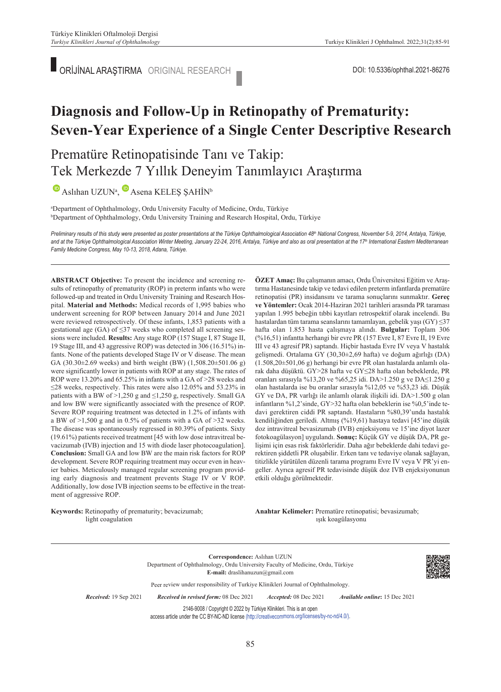ORİJİNAL ARAŞTIRMA ORIGINAL RESEARCH

# **Diagnosis and Follow-Up in Retinopathy of Prematurity: Seven-Year Experience of a Single Center Descriptive Research**

## Prematüre Retinopatisinde Tanı ve Takip: Tek Merkezde 7 Yıllık Deneyim Tanımlayıcı Araştırma

 $\blacktriangleright$ Aslıhan UZUN<sup>a</sup>,  $\blacktriangleright$  Asena KELEŞ ŞAHİN<sup>b</sup>

a Department of Ophthalmology, Ordu University Faculty of Medicine, Ordu, Türkiye b Department of Ophthalmology, Ordu University Training and Research Hospital, Ordu, Türkiye

Preliminary results of this study were presented as poster presentations at the Türkiye Ophthalmological Association 48<sup>th</sup> National Congress, November 5-9, 2014, Antalya, Türkiye, and at the Türkiye Ophthalmological Association Winter Meeting, January 22-24, 2016, Antalya, Türkiye and also as oral presentation at the 17<sup>th</sup> International Eastern Mediterranean *Family Medicine Congress, May 10-13, 2018, Adana, Türkiye.* 

**ABS TRACT Objective:** To present the incidence and screening results of retinopathy of prematurity (ROP) in preterm infants who were followed-up and treated in Ordu University Training and Research Hospital. **Material and Methods:** Medical records of 1,995 babies who underwent screening for ROP between January 2014 and June 2021 were reviewed retrospectively. Of these infants, 1,853 patients with a gestational age (GA) of ≤37 weeks who completed all screening sessions were included. **Results:** Any stage ROP (157 Stage I, 87 Stage II, 19 Stage III, and 43 aggressive ROP) was detected in 306 (16.51%) infants. None of the patients developed Stage IV or V disease. The mean GA (30.30±2.69 weeks) and birth weight (BW) (1,508.20±501.06 g) were significantly lower in patients with ROP at any stage. The rates of ROP were 13.20% and 65.25% in infants with a GA of >28 weeks and ≤28 weeks, respectively. This rates were also 12.05% and 53.23% in patients with a BW of  $>1,250$  g and  $\leq1,250$  g, respectively. Small GA and low BW were significantly associated with the presence of ROP. Severe ROP requiring treatment was detected in 1.2% of infants with a BW of >1,500 g and in 0.5% of patients with a GA of >32 weeks. The disease was spontaneously regressed in 80.39% of patients. Sixty (19.61%) patients received treatment [45 with low dose intravitreal bevacizumab (IVB) injection and 15 with diode laser photocoagulation]. **Conclusion:** Small GA and low BW are the main risk factors for ROP development. Severe ROP requiring treatment may occur even in heavier babies. Meticulously managed regular screening program providing early diagnosis and treatment prevents Stage IV or V ROP. Additionally, low dose IVB injection seems to be effective in the treatment of aggressive ROP.

**Keywords:** Retinopathy of prematurity; bevacizumab; light coagulation

**ÖZET Amaç:** Bu çalışmanın amacı, Ordu Üniversitesi Eğitim ve Araştırma Hastanesinde takip ve tedavi edilen preterm infantlarda prematüre retinopatisi (PR) insidansını ve tarama sonuçlarını sunmaktır. **Gereç ve Yöntemler:** Ocak 2014-Haziran 2021 tarihleri arasında PR taraması yapılan 1.995 bebeğin tıbbi kayıtları retrospektif olarak incelendi. Bu hastalardan tüm tarama seanslarını tamamlayan, gebelik yaşı (GY) ≤37 hafta olan 1.853 hasta çalışmaya alındı. **Bulgular:** Toplam 306 (%16,51) infantta herhangi bir evre PR (157 Evre I, 87 Evre II, 19 Evre III ve 43 agresif PR) saptandı. Hiçbir hastada Evre IV veya V hastalık gelişmedi. Ortalama GY (30,30±2,69 hafta) ve doğum ağırlığı (DA) (1.508,20±501,06 g) herhangi bir evre PR olan hastalarda anlamlı olarak daha düşüktü. GY>28 hafta ve GY≤28 hafta olan bebeklerde, PR oranları sırasıyla %13,20 ve %65,25 idi. DA>1.250 g ve DA≤1.250 g olan hastalarda ise bu oranlar sırasıyla %12,05 ve %53,23 idi. Düşük GY ve DA, PR varlığı ile anlamlı olarak ilişkili idi. DA>1.500 g olan infantların %1,2'sinde, GY>32 hafta olan bebeklerin ise %0,5'inde tedavi gerektiren ciddi PR saptandı. Hastaların %80,39'unda hastalık kendiliğinden geriledi. Altmış (%19,61) hastaya tedavi [45'ine düşük doz intravitreal bevasizumab (IVB) enjeksiyonu ve 15'ine diyot lazer fotokoagülasyon] uygulandı. **Sonuç:** Küçük GY ve düşük DA, PR gelişimi için esas risk faktörleridir. Daha ağır bebeklerde dahi tedavi gerektiren şiddetli PR oluşabilir. Erken tanı ve tedaviye olanak sağlayan, titizlikle yürütülen düzenli tarama programı Evre IV veya V PR'yi engeller. Ayrıca agresif PR tedavisinde düşük doz IVB enjeksiyonunun etkili olduğu görülmektedir.

Anahtar Kelimeler: Prematüre retinopatisi; bevasizumab; ışık koagülasyonu

**Correspondence:** Aslıhan UZUN Department of Ophthalmology, Ordu University Faculty of Medicine, Ordu, Türkiye **E-mail:** draslihanuzun@gmail.com Peer review under responsibility of Turkiye Klinikleri Journal of Ophthalmology. *Re ce i ved:* 19 Sep 2021 *Received in revised form:* 08 Dec 2021 *Ac cep ted:* 08 Dec 2021 *Available online***:** 15 Dec 2021 2146-9008 / Copyright © 2022 by Türkiye Klinikleri. This is an open

access article under the CC BY-NC-ND license [\(http://creativecommons.org/licenses/by](https://creativecommons.org/licenses/by-nc-nd/4.0/)-[nc](https://creativecommons.org/licenses/by-nc-nd/4.0/)-[nd/4.0/\)](https://creativecommons.org/licenses/by-nc-nd/4.0/).

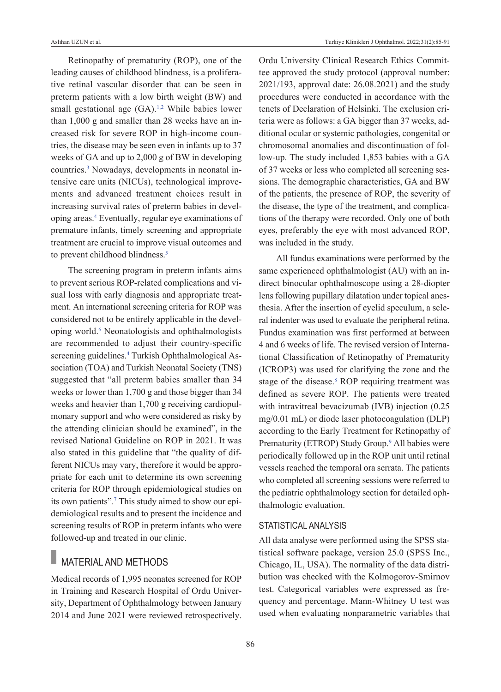Retinopathy of prematurity (ROP), one of the leading causes of childhood blindness, is a proliferative retinal vascular disorder that can be seen in preterm patients with a low birth weight (BW) and small gestational age (GA).<sup>1,2</sup> While babies lower than 1,000 g and smaller than 28 weeks have an increased risk for severe ROP in high-income countries, the disease may be seen even in infants up to 37 weeks of GA and up to 2,000 g of BW in developing countries[.3](#page-5-0) Nowadays, developments in neonatal intensive care units (NICUs), technological improvements and advanced treatment choices result in increasing survival rates of preterm babies in developing areas[.4](#page-5-0) Eventually, regular eye examinations of premature infants, timely screening and appropriate treatment are crucial to improve visual outcomes and to prevent childhood blindness.<sup>5</sup>

The screening program in preterm infants aims to prevent serious ROP-related complications and visual loss with early diagnosis and appropriate treatment. An international screening criteria for ROP was considered not to be entirely applicable in the developing world.<sup>6</sup> Neonatologists and ophthalmologists are recommended to adjust their country-specific screening guidelines.<sup>4</sup> Turkish Ophthalmological Association (TOA) and Turkish Neonatal Society (TNS) suggested that "all preterm babies smaller than 34 weeks or lower than 1,700 g and those bigger than 34 weeks and heavier than 1,700 g receiving cardiopulmonary support and who were considered as risky by the attending clinician should be examined", in the revised National Guideline on ROP in 2021. It was also stated in this guideline that "the quality of different NICUs may vary, therefore it would be appropriate for each unit to determine its own screening criteria for ROP through epidemiological studies on its own patients"[.7](#page-5-0) This study aimed to show our epidemiological results and to present the incidence and screening results of ROP in preterm infants who were followed-up and treated in our clinic.

## MATERIAL AND METHODS

Medical records of 1,995 neonates screened for ROP in Training and Research Hospital of Ordu University, Department of Ophthalmology between January 2014 and June 2021 were reviewed retrospectively. Ordu University Clinical Research Ethics Committee approved the study protocol (approval number: 2021/193, approval date: 26.08.2021) and the study procedures were conducted in accordance with the tenets of Declaration of Helsinki. The exclusion criteria were as follows: a GA bigger than 37 weeks, additional ocular or systemic pathologies, congenital or chromosomal anomalies and discontinuation of follow-up. The study included 1,853 babies with a GA of 37 weeks or less who completed all screening sessions. The demographic characteristics, GA and BW of the patients, the presence of ROP, the severity of the disease, the type of the treatment, and complications of the therapy were recorded. Only one of both eyes, preferably the eye with most advanced ROP, was included in the study.

All fundus examinations were performed by the same experienced ophthalmologist (AU) with an indirect binocular ophthalmoscope using a 28-diopter lens following pupillary dilatation under topical anesthesia. After the insertion of eyelid speculum, a scleral indenter was used to evaluate the peripheral retina. Fundus examination was first performed at between 4 and 6 weeks of life. The revised version of International Classification of Retinopathy of Prematurity (ICROP3) was used for clarifying the zone and the stage of the disease.<sup>8</sup> ROP requiring treatment was defined as severe ROP. The patients were treated with intravitreal bevacizumab (IVB) injection (0.25 mg/0.01 mL) or diode laser photocoagulation (DLP) according to the Early Treatment for Retinopathy of Prematurity (ETROP) Study Group.<sup>9</sup> All babies were periodically followed up in the ROP unit until retinal vessels reached the temporal ora serrata. The patients who completed all screening sessions were referred to the pediatric ophthalmology section for detailed ophthalmologic evaluation.

### STATISTICAL ANALYSIS

All data analyse were performed using the SPSS statistical software package, version 25.0 (SPSS Inc., Chicago, IL, USA). The normality of the data distribution was checked with the Kolmogorov-Smirnov test. Categorical variables were expressed as frequency and percentage. Mann-Whitney U test was used when evaluating nonparametric variables that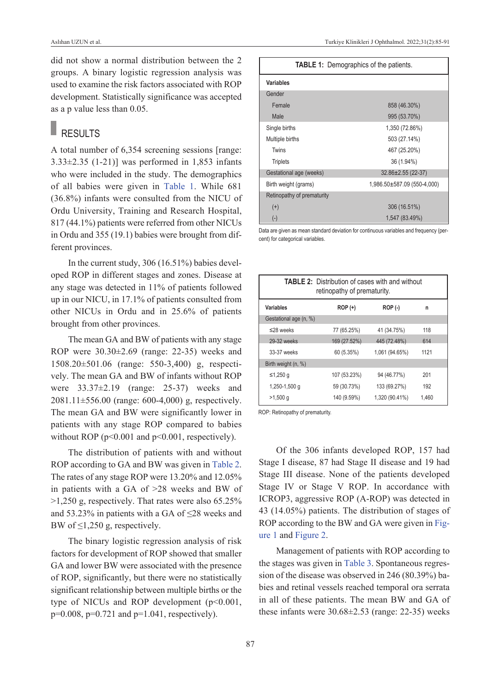did not show a normal distribution between the 2 groups. A binary logistic regression analysis was used to examine the risk factors associated with ROP development. Statistically significance was accepted as a p value less than 0.05.

## **RESULTS**

A total number of 6,354 screening sessions [range:  $3.33\pm2.35$  (1-21)] was performed in 1,853 infants who were included in the study. The demographics of all babies were given in [Table 1.](#page-2-0) While 681 (36.8%) infants were consulted from the NICU of Ordu University, Training and Research Hospital, 817 (44.1%) patients were referred from other NICUs in Ordu and 355 (19.1) babies were brought from different provinces.

In the current study, 306 (16.51%) babies developed ROP in different stages and zones. Disease at any stage was detected in 11% of patients followed up in our NICU, in 17.1% of patients consulted from other NICUs in Ordu and in 25.6% of patients brought from other provinces.

The mean GA and BW of patients with any stage ROP were 30.30±2.69 (range: 22-35) weeks and 1508.20±501.06 (range: 550-3,400) g, respectively. The mean GA and BW of infants without ROP were 33.37±2.19 (range: 25-37) weeks and 2081.11±556.00 (range: 600-4,000) g, respectively. The mean GA and BW were significantly lower in patients with any stage ROP compared to babies without ROP ( $p<0.001$  and  $p<0.001$ , respectively).

The distribution of patients with and without ROP according to GA and BW was given in [Table 2.](#page-2-1) The rates of any stage ROP were 13.20% and 12.05% in patients with a GA of >28 weeks and BW of >1,250 g, respectively. That rates were also 65.25% and 53.23% in patients with a GA of  $\leq$ 28 weeks and BW of  $\leq$ 1,250 g, respectively.

The binary logistic regression analysis of risk factors for development of ROP showed that smaller GA and lower BW were associated with the presence of ROP, significantly, but there were no statistically significant relationship between multiple births or the type of NICUs and ROP development  $(p<0.001,$  $p=0.008$ ,  $p=0.721$  and  $p=1.041$ , respectively).

<span id="page-2-0"></span>

| <b>TABLE 1:</b> Demographics of the patients. |                             |  |  |
|-----------------------------------------------|-----------------------------|--|--|
| Variables                                     |                             |  |  |
| Gender                                        |                             |  |  |
| Female                                        | 858 (46.30%)                |  |  |
| Male                                          | 995 (53.70%)                |  |  |
| Single births                                 | 1,350 (72.86%)              |  |  |
| Multiple births                               | 503 (27.14%)                |  |  |
| Twins                                         | 467 (25.20%)                |  |  |
| <b>Triplets</b>                               | 36 (1.94%)                  |  |  |
| Gestational age (weeks)                       | $32.86 \pm 2.55$ (22-37)    |  |  |
| Birth weight (grams)                          | 1,986.50±587.09 (550-4,000) |  |  |
| Retinopathy of prematurity                    |                             |  |  |
| $^{(+)}$                                      | 306 (16.51%)                |  |  |
| $(\text{-})$                                  | 1,547 (83.49%)              |  |  |

Data are given as mean standard deviation for continuous variables and frequency (percent) for categorical variables.

<span id="page-2-1"></span>

| <b>TABLE 2:</b> Distribution of cases with and without<br>retinopathy of prematurity. |              |                |       |  |  |
|---------------------------------------------------------------------------------------|--------------|----------------|-------|--|--|
| Variables                                                                             | $ROP (+)$    | <b>ROP (-)</b> | n     |  |  |
| Gestational age (n, %)                                                                |              |                |       |  |  |
| $\leq$ 28 weeks                                                                       | 77 (65.25%)  | 41 (34.75%)    | 118   |  |  |
| 29-32 weeks                                                                           | 169 (27.52%) | 445 (72.48%)   | 614   |  |  |
| 33-37 weeks                                                                           | 60 (5.35%)   | 1,061 (94.65%) | 1121  |  |  |
| Birth weight (n, %)                                                                   |              |                |       |  |  |
| ≤1,250 g                                                                              | 107 (53.23%) | 94 (46.77%)    | 201   |  |  |
| 1,250-1,500 g                                                                         | 59 (30.73%)  | 133 (69.27%)   | 192   |  |  |
| $>1,500$ q                                                                            | 140 (9.59%)  | 1.320 (90.41%) | 1.460 |  |  |

ROP: Retinopathy of prematurity.

Of the 306 infants developed ROP, 157 had Stage I disease, 87 had Stage II disease and 19 had Stage III disease. None of the patients developed Stage IV or Stage V ROP. In accordance with ICROP3, aggressive ROP (A-ROP) was detected in 43 (14.05%) patients. The distribution of stages of ROP according to the BW and GA were given in [Fig](#page-3-0)[ure 1 a](#page-3-0)nd [Figure 2.](#page-3-1)

Management of patients with ROP according to the stages was given in [Table 3.](#page-3-2) Spontaneous regression of the disease was observed in 246 (80.39%) babies and retinal vessels reached temporal ora serrata in all of these patients. The mean BW and GA of these infants were  $30.68 \pm 2.53$  (range: 22-35) weeks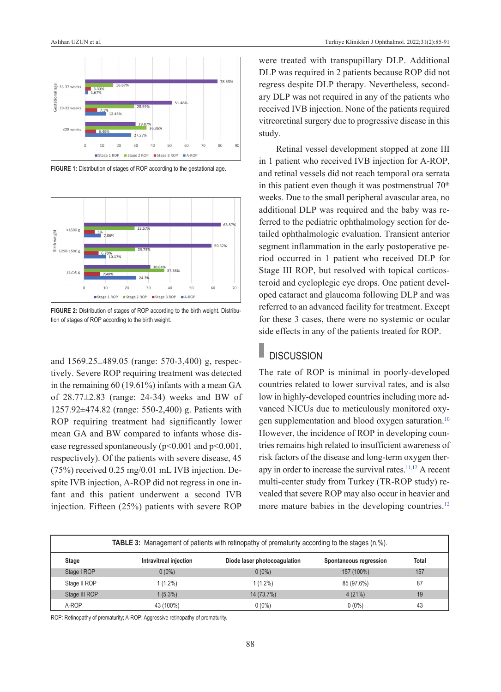

FIGURE 1: Distribution of stages of ROP according to the gestational age.



**FIGURE 2:** Distribution of stages of ROP according to the birth weight. Distribution of stages of ROP according to the birth weight.

and 1569.25±489.05 (range: 570-3,400) g, respectively. Severe ROP requiring treatment was detected in the remaining 60 (19.61%) infants with a mean GA of  $28.77\pm2.83$  (range: 24-34) weeks and BW of 1257.92±474.82 (range: 550-2,400) g. Patients with ROP requiring treatment had significantly lower mean GA and BW compared to infants whose disease regressed spontaneously (p<0.001 and p<0.001, respectively). Of the patients with severe disease, 45 (75%) received 0.25 mg/0.01 mL IVB injection. Despite IVB injection, A-ROP did not regress in one infant and this patient underwent a second IVB injection. Fifteen (25%) patients with severe ROP were treated with transpupillary DLP. Additional DLP was required in 2 patients because ROP did not regress despite DLP therapy. Nevertheless, secondary DLP was not required in any of the patients who received IVB injection. None of the patients required vitreoretinal surgery due to progressive disease in this study.

<span id="page-3-0"></span>Retinal vessel development stopped at zone III in 1 patient who received IVB injection for A-ROP, and retinal vessels did not reach temporal ora serrata in this patient even though it was postmenstrual  $70<sup>th</sup>$ weeks. Due to the small peripheral avascular area, no additional DLP was required and the baby was referred to the pediatric ophthalmology section for detailed ophthalmologic evaluation. Transient anterior segment inflammation in the early postoperative period occurred in 1 patient who received DLP for Stage III ROP, but resolved with topical corticosteroid and cycloplegic eye drops. One patient developed cataract and glaucoma following DLP and was referred to an advanced facility for treatment. Except for these 3 cases, there were no systemic or ocular side effects in any of the patients treated for ROP.

#### <span id="page-3-1"></span>п **DISCUSSION**

<span id="page-3-2"></span>The rate of ROP is minimal in poorly-developed countries related to lower survival rates, and is also low in highly-developed countries including more advanced NICUs due to meticulously monitored oxygen supplementation and blood oxygen saturation.<sup>10</sup> However, the incidence of ROP in developing countries remains high related to insufficient awareness of risk factors of the disease and long-term oxygen therapy in order to increase the survival rates.<sup>11,12</sup> A recent multi-center study from Turkey (TR-ROP study) revealed that severe ROP may also occur in heavier and more mature babies in the developing countries.<sup>12</sup>

| <b>TABLE 3:</b> Management of patients with retinopathy of prematurity according to the stages $(n, %).$ |                        |                              |                        |              |  |
|----------------------------------------------------------------------------------------------------------|------------------------|------------------------------|------------------------|--------------|--|
| <b>Stage</b>                                                                                             | Intravitreal injection | Diode laser photocoagulation | Spontaneous regression | <b>Total</b> |  |
| Stage I ROP                                                                                              | $0(0\%)$               | $0(0\%)$                     | 157 (100%)             | 157          |  |
| Stage II ROP                                                                                             | $1(1.2\%)$             | 1 (1.2%)                     | 85 (97.6%)             | 87           |  |
| Stage III ROP                                                                                            | $1(5.3\%)$             | 14 (73.7%)                   | 4(21%)                 | 19           |  |
| A-ROP                                                                                                    | 43 (100%)              | $0(0\%)$                     | $0(0\%)$               | 43           |  |

ROP: Retinopathy of prematurity; A-ROP: Aggressive retinopathy of prematurity.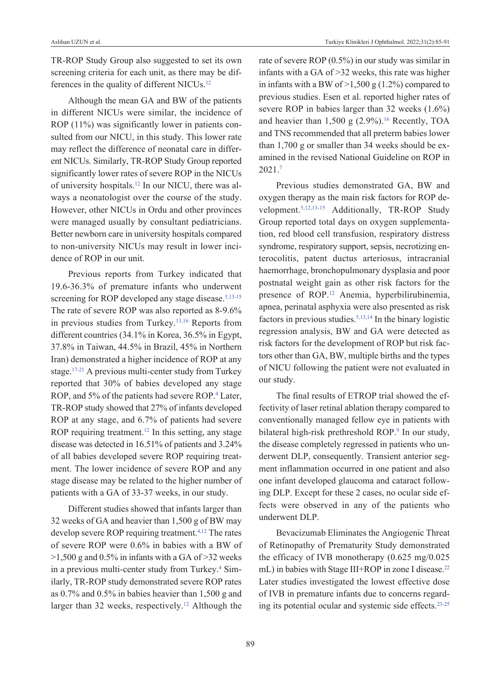TR-ROP Study Group also suggested to set its own screening criteria for each unit, as there may be differences in the quality of different NICUs[.12](#page-5-0)

Although the mean GA and BW of the patients in different NICUs were similar, the incidence of ROP (11%) was significantly lower in patients consulted from our NICU, in this study. This lower rate may reflect the difference of neonatal care in different NICUs. Similarly, TR-ROP Study Group reported significantly lower rates of severe ROP in the NICUs of university hospitals[.12](#page-5-0) In our NICU, there was always a neonatologist over the course of the study. However, other NICUs in Ordu and other provinces were managed usually by consultant pediatricians. Better newborn care in university hospitals compared to non-university NICUs may result in lower incidence of ROP in our unit.

Previous reports from Turkey indicated that 19.6-36.3% of premature infants who underwent screening for ROP developed any stage disease.<sup>5,13-15</sup> The rate of severe ROP was also reported as 8-9.6% in previous studies from Turkey.<sup>13,16</sup> Reports from different countries (34.1% in Korea, 36.5% in Egypt, 37.8% in Taiwan, 44.5% in Brazil, 45% in Northern Iran) demonstrated a higher incidence of ROP at any stage[.17-21](#page-5-0) A previous multi-center study from Turkey reported that 30% of babies developed any stage ROP, and 5% of the patients had severe ROP.<sup>4</sup> Later, TR-ROP study showed that 27% of infants developed ROP at any stage, and 6.7% of patients had severe ROP requiring treatment.<sup>12</sup> In this setting, any stage disease was detected in 16.51% of patients and 3.24% of all babies developed severe ROP requiring treatment. The lower incidence of severe ROP and any stage disease may be related to the higher number of patients with a GA of 33-37 weeks, in our study.

Different studies showed that infants larger than 32 weeks of GA and heavier than 1,500 g of BW may develop severe ROP requiring treatment[.4,12](#page-5-0) The rates of severe ROP were 0.6% in babies with a BW of  $>1,500$  g and 0.5% in infants with a GA of  $>32$  weeks in a previous multi-center study from Turkey.<sup>4</sup> Similarly, TR-ROP study demonstrated severe ROP rates as 0.7% and 0.5% in babies heavier than 1,500 g and larger than 32 weeks, respectively.<sup>12</sup> Although the rate of severe ROP (0.5%) in our study was similar in infants with a GA of >32 weeks, this rate was higher in infants with a BW of  $>1,500$  g (1.2%) compared to previous studies. Esen et al. reported higher rates of severe ROP in babies larger than 32 weeks (1.6%) and heavier than 1,500 g  $(2.9\%)$ .<sup>16</sup> Recently, TOA and TNS recommended that all preterm babies lower than 1,700 g or smaller than 34 weeks should be examined in the revised National Guideline on ROP in 2021[.7](#page-5-0)

Previous studies demonstrated GA, BW and oxygen therapy as the main risk factors for ROP development[.5,12,13-15](#page-5-0) Additionally, TR-ROP Study Group reported total days on oxygen supplementation, red blood cell transfusion, respiratory distress syndrome, respiratory support, sepsis, necrotizing enterocolitis, patent ductus arteriosus, intracranial haemorrhage, bronchopulmonary dysplasia and poor postnatal weight gain as other risk factors for the presence of ROP.<sup>12</sup> Anemia, hyperbilirubinemia, apnea, perinatal asphyxia were also presented as risk factors in previous studies[.5,13,14](#page-5-0) In the binary logistic regression analysis, BW and GA were detected as risk factors for the development of ROP but risk factors other than GA, BW, multiple births and the types of NICU following the patient were not evaluated in our study.

The final results of ETROP trial showed the effectivity of laser retinal ablation therapy compared to conventionally managed fellow eye in patients with bilateral high-risk prethreshold ROP.<sup>9</sup> In our study, the disease completely regressed in patients who underwent DLP, consequently. Transient anterior segment inflammation occurred in one patient and also one infant developed glaucoma and cataract following DLP. Except for these 2 cases, no ocular side effects were observed in any of the patients who underwent DLP.

Bevacizumab Eliminates the Angiogenic Threat of Retinopathy of Prematurity Study demonstrated the efficacy of IVB monotherapy (0.625 mg/0.025 mL) in babies with Stage III+ROP in zone I disease.<sup>22</sup> Later studies investigated the lowest effective dose of IVB in premature infants due to concerns regarding its potential ocular and systemic side effects[.23-25](#page-5-0)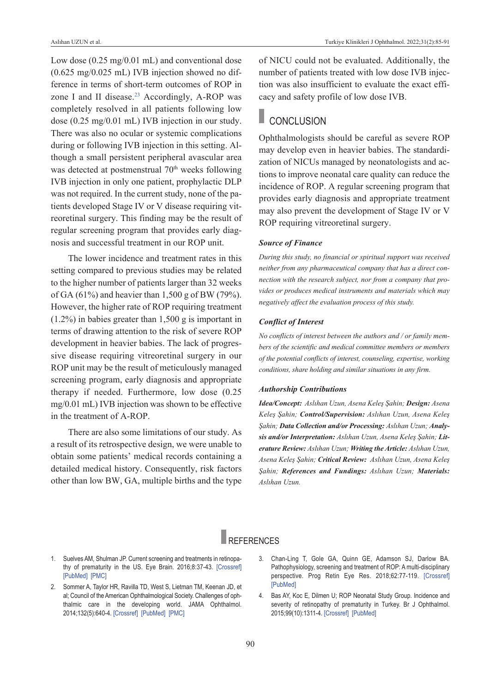Low dose (0.25 mg/0.01 mL) and conventional dose (0.625 mg/0.025 mL) IVB injection showed no difference in terms of short-term outcomes of ROP in zone I and II disease.<sup>23</sup> Accordingly, A-ROP was completely resolved in all patients following low dose (0.25 mg/0.01 mL) IVB injection in our study. There was also no ocular or systemic complications during or following IVB injection in this setting. Although a small persistent peripheral avascular area was detected at postmenstrual 70<sup>th</sup> weeks following IVB injection in only one patient, prophylactic DLP was not required. In the current study, none of the patients developed Stage IV or V disease requiring vitreoretinal surgery. This finding may be the result of regular screening program that provides early diagnosis and successful treatment in our ROP unit.

The lower incidence and treatment rates in this setting compared to previous studies may be related to the higher number of patients larger than 32 weeks of GA (61%) and heavier than 1,500 g of BW (79%). However, the higher rate of ROP requiring treatment (1.2%) in babies greater than 1,500 g is important in terms of drawing attention to the risk of severe ROP development in heavier babies. The lack of progressive disease requiring vitreoretinal surgery in our ROP unit may be the result of meticulously managed screening program, early diagnosis and appropriate therapy if needed. Furthermore, low dose (0.25 mg/0.01 mL) IVB injection was shown to be effective in the treatment of A-ROP.

There are also some limitations of our study. As a result of its retrospective design, we were unable to obtain some patients' medical records containing a detailed medical history. Consequently, risk factors other than low BW, GA, multiple births and the type of NICU could not be evaluated. Additionally, the number of patients treated with low dose IVB injection was also insufficient to evaluate the exact efficacy and safety profile of low dose IVB.

## **CONCLUSION**

Ophthalmologists should be careful as severe ROP may develop even in heavier babies. The standardization of NICUs managed by neonatologists and actions to improve neonatal care quality can reduce the incidence of ROP. A regular screening program that provides early diagnosis and appropriate treatment may also prevent the development of Stage IV or V ROP requiring vitreoretinal surgery.

### *Source of Finance*

*During this study, no financial or spiritual support was received neither from any pharmaceutical company that has a direct connection with the research subject, nor from a company that provides or produces medical instruments and materials which may negatively affect the evaluation process of this study.* 

#### *Conflict of Interest*

*No conflicts of interest between the authors and / or family members of the scientific and medical committee members or members of the potential conflicts of interest, counseling, expertise, working conditions, share holding and similar situations in any firm.* 

#### *Authorship Contributions*

*Idea/Concept: Aslıhan Uzun, Asena Keleş Şahin; Design: Asena Keleş Şahin; Control/Supervision: Aslıhan Uzun, Asena Keleş Şahin; Data Collection and/or Processing: Aslıhan Uzun; Analysis and/or Interpretation: Aslıhan Uzun, Asena Keleş Şahin; Literature Review: Aslıhan Uzun; Writing the Article: Aslıhan Uzun, Asena Keleş Şahin; Critical Review: Aslıhan Uzun, Asena Keleş Şahin; References and Fundings: Aslıhan Uzun; Materials: Aslıhan Uzun.*

## **REFERENCES**

- 1. Suelves AM, Shulman JP. Current screening and treatments in retinopathy of prematurity in the US. Eye Brain. 2016;8:37-43. [\[Crossref\]](https://www.dovepress.com/current-screening-and-treatments-in-retinopathy-of-prematurity-in-the--peer-reviewed-fulltext-article-EB) [\[PubMed\]](https://pubmed.ncbi.nlm.nih.gov/28539800/) [\[PMC\]](https://www.ncbi.nlm.nih.gov/pmc/articles/PMC5398742/)
- 2. Sommer A, Taylor HR, Ravilla TD, West S, Lietman TM, Keenan JD, et al; Council of the American Ophthalmological Society. Challenges of ophthalmic care in the developing world. JAMA Ophthalmol. 2014;132(5):640-4. [\[Crossref\]](https://jamanetwork.com/journals/jamaophthalmology/article-abstract/1838345) [\[PubMed\]](https://pubmed.ncbi.nlm.nih.gov/24604415/) [\[PMC\]](https://www.ncbi.nlm.nih.gov/pmc/articles/PMC4063878/)
- <span id="page-5-0"></span>3. Chan-Ling T, Gole GA, Quinn GE, Adamson SJ, Darlow BA. Pathophysiology, screening and treatment of ROP: A multi-disciplinary perspective. Prog Retin Eye Res. 2018;62:77-119. [\[Crossref\]](https://www.sciencedirect.com/science/article/abs/pii/S1350946216300775?via%3Dihub) [\[PubMed\]](https://pubmed.ncbi.nlm.nih.gov/28958885/)
- 4. Bas AY, Koc E, Dilmen U; ROP Neonatal Study Group. Incidence and severity of retinopathy of prematurity in Turkey. Br J Ophthalmol. 2015;99(10):1311-4. [\[Crossref\]](https://bjo.bmj.com/content/99/10/1311) [\[PubMed\]](https://pubmed.ncbi.nlm.nih.gov/25868788/)